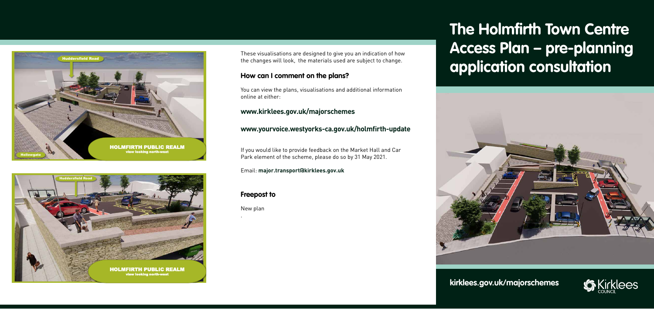# **The Holmfirth Town Centre Access Plan – pre-planning application consultation**

**kirklees.gov.uk/majorschemes**



These visualisations are designed to give you an indication of how the changes will look, the materials used are subject to change.

### **How can I comment on the plans?**

You can view the plans, visualisations and additional information online at either:

#### **www.kirklees.gov.uk/majorschemes**

### **www.yourvoice.westyorks-ca.gov.uk/holmfirth-update**

If you would like to provide feedback on the Market Hall and Car Park element of the scheme, please do so by 31 May 2021.

Email: **major.transport@kirklees.gov.uk** 

### **Freepost to**

New plan

.